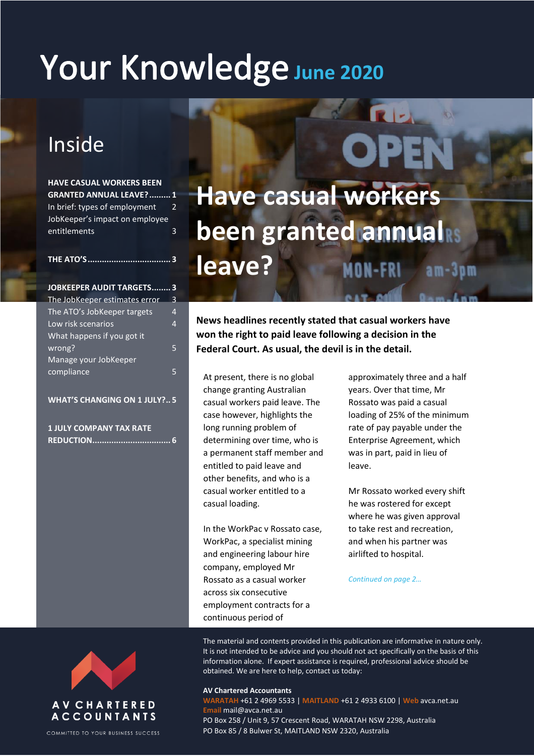# Your Knowledge June 2020

# Inside

**HAVE CASUAL WORKERS BEEN GRANTED ANNUAL LEAVE?......... 1** In brief: types of employment 2 JobKeeper's impact on employee entitlements 3

# **Have casual workers been granted annual leave?**

**News headlines recently stated that casual workers have won the right to paid leave following a decision in the Federal Court. As usual, the devil is in the detail.**

At present, there is no global change granting Australian casual workers paid leave. The case however, highlights the long running problem of determining over time, who is a permanent staff member and entitled to paid leave and other benefits, and who is a casual worker entitled to a casual loading.

In the WorkPac v Rossato case, WorkPac, a specialist mining and engineering labour hire company, employed Mr Rossato as a casual worker across six consecutive employment contracts for a continuous period of

approximately three and a half years. Over that time, Mr Rossato was paid a casual loading of 25% of the minimum rate of pay payable under the Enterprise Agreement, which was in part, paid in lieu of leave.

Mr Rossato worked every shift he was rostered for except where he was given approval to take rest and recreation, and when his partner was airlifted to hospital.

*Continued on page 2…*

**THE ATO'S................................... 3 JOBKEEPER AUDIT TARGETS........ 3** The JobKeeper estimates error 3 The ATO's JobKeeper targets 4

| THE ATU SJOUNEEDEL LAIRELS | 4 |
|----------------------------|---|
| Low risk scenarios         | 4 |
| What happens if you got it |   |
| wrong?                     | 5 |
| Manage your JobKeeper      |   |
| compliance                 |   |
|                            |   |

#### **WHAT'S CHANGING ON 1 JULY?.. 5**

**1 JULY COMPANY TAX RATE REDUCTION................................. 6**

**AVCHARTERED ACCOUNTANTS** 

COMMITTED TO YOUR BUSINESS SUCCESS

The material and contents provided in this publication are informative in nature only. It is not intended to be advice and you should not act specifically on the basis of this information alone. If expert assistance is required, professional advice should be obtained. We are here to help, contact us today:

#### **AV Chartered Accountants**

**WARATAH** +61 2 4969 5533 | **MAITLAND** +61 2 4933 6100 | **Web** avca.net.au **Email** mail@avca.net.au PO Box 258 / Unit 9, 57 Crescent Road, WARATAH NSW 2298, Australia PO Box 85 / 8 Bulwer St, MAITLAND NSW 2320, Australia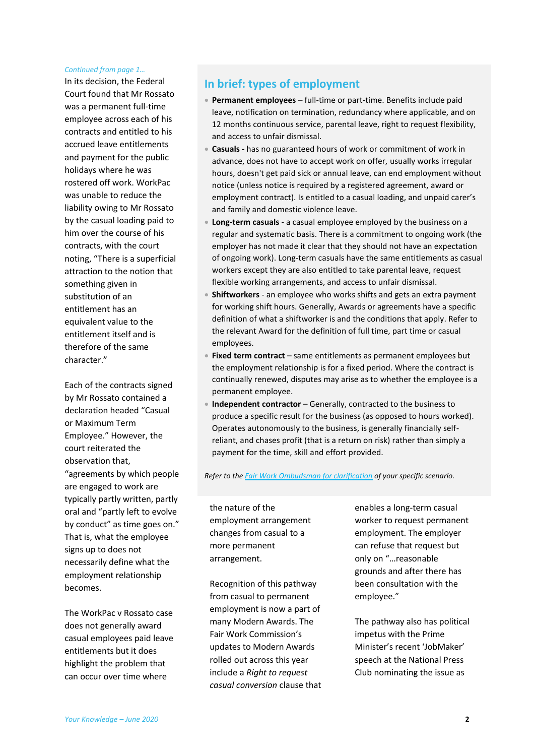#### *Continued from page 1…*

In its decision, the Federal Court found that Mr Rossato was a permanent full-time employee across each of his contracts and entitled to his accrued leave entitlements and payment for the public holidays where he was rostered off work. WorkPac was unable to reduce the liability owing to Mr Rossato by the casual loading paid to him over the course of his contracts, with the court noting, "There is a superficial attraction to the notion that something given in substitution of an entitlement has an equivalent value to the entitlement itself and is therefore of the same character."

Each of the contracts signed by Mr Rossato contained a declaration headed "Casual or Maximum Term Employee." However, the court reiterated the observation that, "agreements by which people are engaged to work are typically partly written, partly oral and "partly left to evolve by conduct" as time goes on." That is, what the employee signs up to does not necessarily define what the employment relationship becomes.

The WorkPac v Rossato case does not generally award casual employees paid leave entitlements but it does highlight the problem that can occur over time where

### **In brief: types of employment**

- **Permanent employees** full-time or part-time. Benefits include paid leave, notification on termination, redundancy where applicable, and on 12 months continuous service, parental leave, right to request flexibility, and access to unfair dismissal.
- **Casuals -** has no guaranteed hours of work or commitment of work in advance, does not have to accept work on offer, usually works irregular hours, doesn't get paid sick or annual leave, can end employment without notice (unless notice is required by a registered agreement, award or employment contract). Is entitled to a casual loading, and unpaid carer's and family and domestic violence leave.
- **Long-term casuals** a casual employee employed by the business on a regular and systematic basis. There is a commitment to ongoing work (the employer has not made it clear that they should not have an expectation of ongoing work). Long-term casuals have the same entitlements as casual workers except they are also entitled to take parental leave, request flexible working arrangements, and access to unfair dismissal.
- **Shiftworkers** an employee who works shifts and gets an extra payment for working shift hours. Generally, Awards or agreements have a specific definition of what a shiftworker is and the conditions that apply. Refer to the relevant Award for the definition of full time, part time or casual employees.
- **Fixed term contract** same entitlements as permanent employees but the employment relationship is for a fixed period. Where the contract is continually renewed, disputes may arise as to whether the employee is a permanent employee.
- **Independent contractor** Generally, contracted to the business to produce a specific result for the business (as opposed to hours worked). Operates autonomously to the business, is generally financially selfreliant, and chases profit (that is a return on risk) rather than simply a payment for the time, skill and effort provided.

*Refer to th[e Fair Work Ombudsman for clarification](https://www.fairwork.gov.au/employee-entitlements/types-of-employees) of your specific scenario.*

the nature of the employment arrangement changes from casual to a more permanent arrangement.

Recognition of this pathway from casual to permanent employment is now a part of many Modern Awards. The Fair Work Commission's updates to Modern Awards rolled out across this year include a *Right to request casual conversion* clause that enables a long-term casual worker to request permanent employment. The employer can refuse that request but only on "…reasonable grounds and after there has been consultation with the employee."

The pathway also has political impetus with the Prime Minister's recent 'JobMaker' speech at the National Press Club nominating the issue as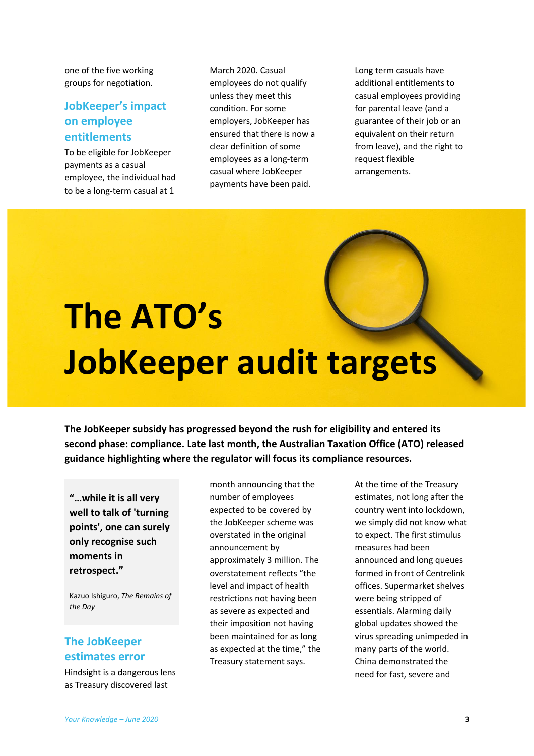one of the five working groups for negotiation.

## **JobKeeper's impact on employee entitlements**

To be eligible for JobKeeper payments as a casual employee, the individual had to be a long-term casual at 1

March 2020. Casual employees do not qualify unless they meet this condition. For some employers, JobKeeper has ensured that there is now a clear definition of some employees as a long-term casual where JobKeeper payments have been paid.

Long term casuals have additional entitlements to casual employees providing for parental leave (and a guarantee of their job or an equivalent on their return from leave), and the right to request flexible arrangements.

# **The ATO's JobKeeper audit targets**

**The JobKeeper subsidy has progressed beyond the rush for eligibility and entered its second phase: compliance. Late last month, the Australian Taxation Office (ATO) released guidance highlighting where the regulator will focus its compliance resources.**

**"…while it is all very well to talk of 'turning points', one can surely only recognise such moments in retrospect."** 

Kazuo Ishiguro, *The Remains of the Day*

## **The JobKeeper estimates error**

Hindsight is a dangerous lens as Treasury discovered last

month announcing that the number of employees expected to be covered by the JobKeeper scheme was overstated in the original announcement by approximately 3 million. The overstatement reflects "the level and impact of health restrictions not having been as severe as expected and their imposition not having been maintained for as long as expected at the time," the Treasury statement says.

At the time of the Treasury estimates, not long after the country went into lockdown, we simply did not know what to expect. The first stimulus measures had been announced and long queues formed in front of Centrelink offices. Supermarket shelves were being stripped of essentials. Alarming daily global updates showed the virus spreading unimpeded in many parts of the world. China demonstrated the need for fast, severe and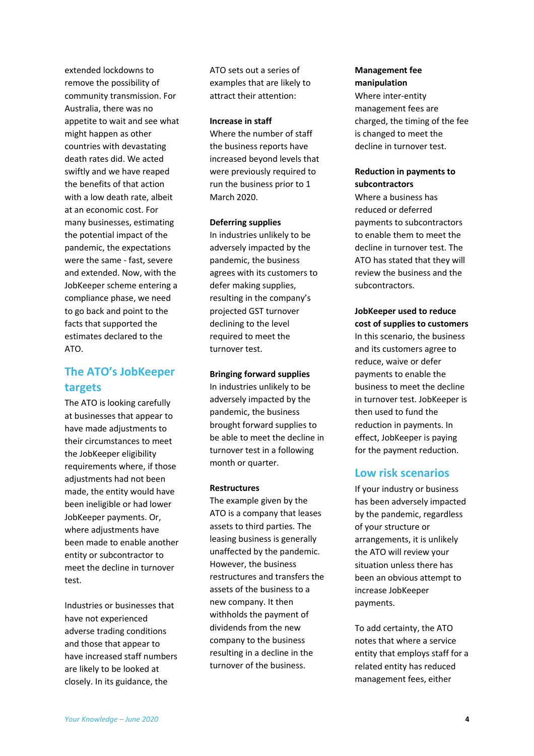extended lockdowns to remove the possibility of community transmission. For Australia, there was no appetite to wait and see what might happen as other countries with devastating death rates did. We acted swiftly and we have reaped the benefits of that action with a low death rate, albeit at an economic cost. For many businesses, estimating the potential impact of the pandemic, the expectations were the same - fast, severe and extended. Now, with the JobKeeper scheme entering a compliance phase, we need to go back and point to the facts that supported the estimates declared to the ATO.

## **The ATO's JobKeeper targets**

The ATO is looking carefully at businesses that appear to have made adjustments to their circumstances to meet the JobKeeper eligibility requirements where, if those adjustments had not been made, the entity would have been ineligible or had lower JobKeeper payments. Or, where adjustments have been made to enable another entity or subcontractor to meet the decline in turnover test.

Industries or businesses that have not experienced adverse trading conditions and those that appear to have increased staff numbers are likely to be looked at closely. In its guidance, the

ATO sets out a series of examples that are likely to attract their attention:

#### **Increase in staff**

Where the number of staff the business reports have increased beyond levels that were previously required to run the business prior to 1 March 2020.

#### **Deferring supplies**

In industries unlikely to be adversely impacted by the pandemic, the business agrees with its customers to defer making supplies, resulting in the company's projected GST turnover declining to the level required to meet the turnover test.

#### **Bringing forward supplies**

In industries unlikely to be adversely impacted by the pandemic, the business brought forward supplies to be able to meet the decline in turnover test in a following month or quarter.

#### **Restructures**

The example given by the ATO is a company that leases assets to third parties. The leasing business is generally unaffected by the pandemic. However, the business restructures and transfers the assets of the business to a new company. It then withholds the payment of dividends from the new company to the business resulting in a decline in the turnover of the business.

#### **Management fee manipulation**

Where inter-entity management fees are charged, the timing of the fee is changed to meet the decline in turnover test.

#### **Reduction in payments to subcontractors**

Where a business has reduced or deferred payments to subcontractors to enable them to meet the decline in turnover test. The ATO has stated that they will review the business and the subcontractors.

#### **JobKeeper used to reduce cost of supplies to customers**

In this scenario, the business and its customers agree to reduce, waive or defer payments to enable the business to meet the decline in turnover test. JobKeeper is then used to fund the reduction in payments. In effect, JobKeeper is paying for the payment reduction.

### **Low risk scenarios**

If your industry or business has been adversely impacted by the pandemic, regardless of your structure or arrangements, it is unlikely the ATO will review your situation unless there has been an obvious attempt to increase JobKeeper payments.

To add certainty, the ATO notes that where a service entity that employs staff for a related entity has reduced management fees, either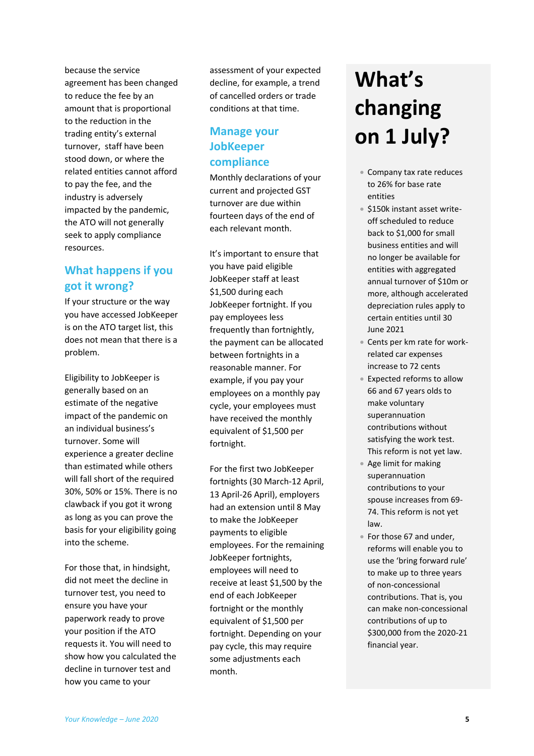because the service agreement has been changed to reduce the fee by an amount that is proportional to the reduction in the trading entity's external turnover, staff have been stood down, or where the related entities cannot afford to pay the fee, and the industry is adversely impacted by the pandemic, the ATO will not generally seek to apply compliance resources.

## **What happens if you got it wrong?**

If your structure or the way you have accessed JobKeeper is on the ATO target list, this does not mean that there is a problem.

Eligibility to JobKeeper is generally based on an estimate of the negative impact of the pandemic on an individual business's turnover. Some will experience a greater decline than estimated while others will fall short of the required 30%, 50% or 15%. There is no clawback if you got it wrong as long as you can prove the basis for your eligibility going into the scheme.

For those that, in hindsight, did not meet the decline in turnover test, you need to ensure you have your paperwork ready to prove your position if the ATO requests it. You will need to show how you calculated the decline in turnover test and how you came to your

assessment of your expected decline, for example, a trend of cancelled orders or trade conditions at that time.

# **Manage your JobKeeper compliance**

Monthly declarations of your current and projected GST turnover are due within fourteen days of the end of each relevant month.

It's important to ensure that you have paid eligible JobKeeper staff at least \$1,500 during each JobKeeper fortnight. If you pay employees less frequently than fortnightly, the payment can be allocated between fortnights in a reasonable manner. For example, if you pay your employees on a monthly pay cycle, your employees must have received the monthly equivalent of \$1,500 per fortnight.

For the first two JobKeeper fortnights (30 March-12 April, 13 April-26 April), employers had an extension until 8 May to make the JobKeeper payments to eligible employees. For the remaining JobKeeper fortnights, employees will need to receive at least \$1,500 by the end of each JobKeeper fortnight or the monthly equivalent of \$1,500 per fortnight. Depending on your pay cycle, this may require some adjustments each month.

# **What's changing on 1 July?**

- Company tax rate reduces to 26% for base rate entities
- **\$150k instant asset write**off scheduled to reduce back to \$1,000 for small business entities and will no longer be available for entities with aggregated annual turnover of \$10m or more, although accelerated depreciation rules apply to certain entities until 30 June 2021
- Cents per km rate for workrelated car expenses increase to 72 cents
- Expected reforms to allow 66 and 67 years olds to make voluntary superannuation contributions without satisfying the work test. This reform is not yet law.
- Age limit for making superannuation contributions to your spouse increases from 69- 74. This reform is not yet law.
- For those 67 and under, reforms will enable you to use the 'bring forward rule' to make up to three years of non-concessional contributions. That is, you can make non-concessional contributions of up to \$300,000 from the 2020-21 financial year.